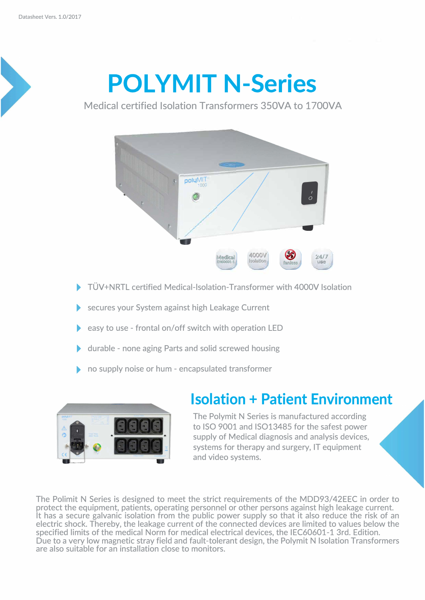## **POLYMIT N-Series**

Medical certified Isolation Transformers 350VA to 1700VA



- ▶ TÜV+NRTL certified Medical-Isolation-Transformer with 4000V Isolation
- secures your System against high Leakage Current
- easy to use frontal on/off switch with operation LED
- � durable none aging Parts and solid screwed housing
- � no supply noise or hum encapsulated transformer



## **Isolation + Patient Environment**

The Polymit N Series is manufactured according to ISO 9001 and IS013485 for the safest power supply of Medical diagnosis and analysis devices, systems for therapy and surgery, IT equipment and video systems.

The Polimit N Series is designed to meet the strict requirements of the MDD93/42EEC in order to protect the equipment, patients, operating personnel or other persons against high leakage current. lt has a secure galvanic isolation from the public power supply so that it also reduce the risk of an electric shock. Thereby, the leakage current of the connected devices are limited to values below the specified limits of the medical Norm for medical electrical devices, the IEC60601-1 3rd. Edition. Due to a very low magnetic stray field and fault-tolerant design, the Polymit N Isolation Transformers are also suitable for an installation close to monitors.